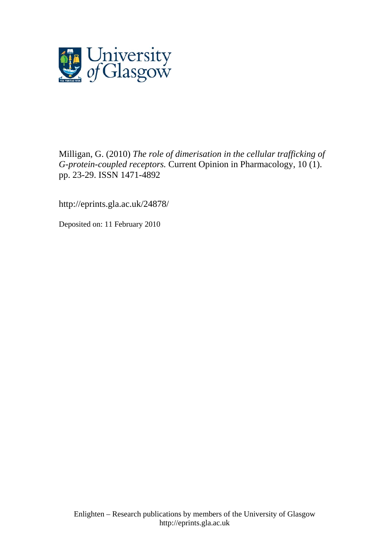

Milligan, G. (2010) *The role of dimerisation in the cellular trafficking of G-protein-coupled receptors.* Current Opinion in Pharmacology, 10 (1). pp. 23-29. ISSN 1471-4892

http://eprints.gla.ac.uk/24878/

Deposited on: 11 February 2010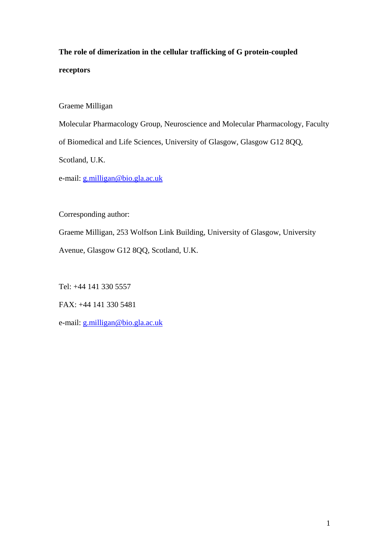# **The role of dimerization in the cellular trafficking of G protein-coupled receptors**

Graeme Milligan

Molecular Pharmacology Group, Neuroscience and Molecular Pharmacology, Faculty

of Biomedical and Life Sciences, University of Glasgow, Glasgow G12 8QQ,

Scotland, U.K.

e-mail: [g.milligan@bio.gla.ac.uk](mailto:g.milligan@bio.gla.ac.uk)

Corresponding author:

Graeme Milligan, 253 Wolfson Link Building, University of Glasgow, University Avenue, Glasgow G12 8QQ, Scotland, U.K.

Tel: +44 141 330 5557

FAX: +44 141 330 5481

e-mail: [g.milligan@bio.gla.ac.uk](mailto:g.milligan@bio.gla.ac.uk)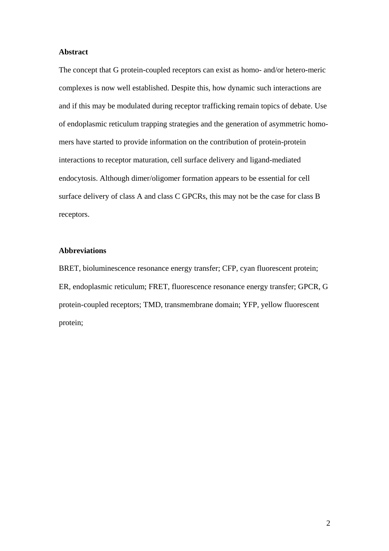### **Abstract**

The concept that G protein-coupled receptors can exist as homo- and/or hetero-meric complexes is now well established. Despite this, how dynamic such interactions are and if this may be modulated during receptor trafficking remain topics of debate. Use of endoplasmic reticulum trapping strategies and the generation of asymmetric homomers have started to provide information on the contribution of protein-protein interactions to receptor maturation, cell surface delivery and ligand-mediated endocytosis. Although dimer/oligomer formation appears to be essential for cell surface delivery of class A and class C GPCRs, this may not be the case for class B receptors.

# **Abbreviations**

BRET, bioluminescence resonance energy transfer; CFP, cyan fluorescent protein; ER, endoplasmic reticulum; FRET, fluorescence resonance energy transfer; GPCR, G protein-coupled receptors; TMD, transmembrane domain; YFP, yellow fluorescent protein;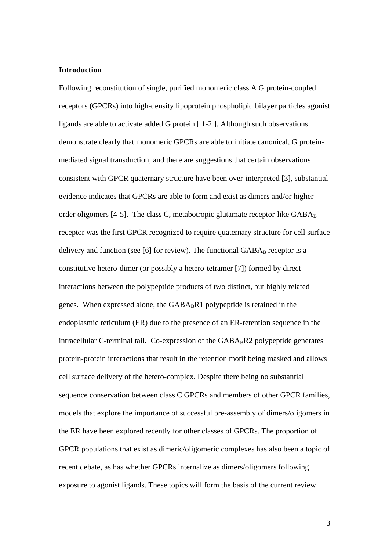#### **Introduction**

Following reconstitution of single, purified monomeric class A G protein-coupled receptors (GPCRs) into high-density lipoprotein phospholipid bilayer particles agonist ligands are able to activate added G protein [ 1-2 ]. Although such observations demonstrate clearly that monomeric GPCRs are able to initiate canonical, G proteinmediated signal transduction, and there are suggestions that certain observations consistent with GPCR quaternary structure have been over-interpreted [3], substantial evidence indicates that GPCRs are able to form and exist as dimers and/or higherorder oligomers [4-5]. The class C, metabotropic glutamate receptor-like  $GABA_B$ receptor was the first GPCR recognized to require quaternary structure for cell surface delivery and function (see [6] for review). The functional  $GABA_B$  receptor is a constitutive hetero-dimer (or possibly a hetero-tetramer [7]) formed by direct interactions between the polypeptide products of two distinct, but highly related genes. When expressed alone, the  $GABA_BR1$  polypeptide is retained in the endoplasmic reticulum (ER) due to the presence of an ER-retention sequence in the intracellular C-terminal tail. Co-expression of the  $GABA_BR2$  polypeptide generates protein-protein interactions that result in the retention motif being masked and allows cell surface delivery of the hetero-complex. Despite there being no substantial sequence conservation between class C GPCRs and members of other GPCR families, models that explore the importance of successful pre-assembly of dimers/oligomers in the ER have been explored recently for other classes of GPCRs. The proportion of GPCR populations that exist as dimeric/oligomeric complexes has also been a topic of recent debate, as has whether GPCRs internalize as dimers/oligomers following exposure to agonist ligands. These topics will form the basis of the current review.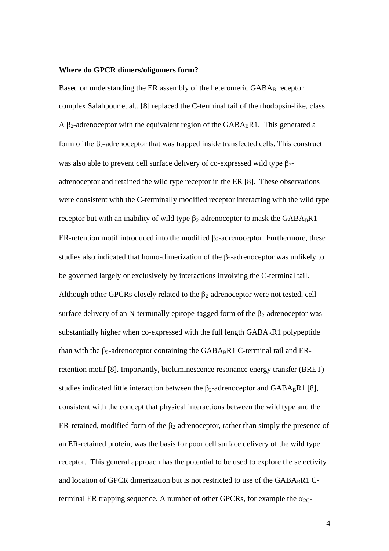#### **Where do GPCR dimers/oligomers form?**

Based on understanding the ER assembly of the heteromeric  $GABA_B$  receptor complex Salahpour et al., [8] replaced the C-terminal tail of the rhodopsin-like, class A  $\beta_2$ -adrenoceptor with the equivalent region of the GABA<sub>B</sub>R1. This generated a form of the  $\beta_2$ -adrenoceptor that was trapped inside transfected cells. This construct was also able to prevent cell surface delivery of co-expressed wild type  $\beta_2$ adrenoceptor and retained the wild type receptor in the ER [8]. These observations were consistent with the C-terminally modified receptor interacting with the wild type receptor but with an inability of wild type  $\beta_2$ -adrenoceptor to mask the GABA<sub>B</sub>R1 ER-retention motif introduced into the modified  $\beta_2$ -adrenoceptor. Furthermore, these studies also indicated that homo-dimerization of the  $\beta_2$ -adrenoceptor was unlikely to be governed largely or exclusively by interactions involving the C-terminal tail. Although other GPCRs closely related to the  $\beta_2$ -adrenoceptor were not tested, cell surface delivery of an N-terminally epitope-tagged form of the  $\beta_2$ -adrenoceptor was substantially higher when co-expressed with the full length  $GABA_BR1$  polypeptide than with the  $\beta_2$ -adrenoceptor containing the GABA<sub>B</sub>R1 C-terminal tail and ERretention motif [8]. Importantly, bioluminescence resonance energy transfer (BRET) studies indicated little interaction between the  $\beta_2$ -adrenoceptor and GABA<sub>B</sub>R1 [8], consistent with the concept that physical interactions between the wild type and the ER-retained, modified form of the  $\beta_2$ -adrenoceptor, rather than simply the presence of an ER-retained protein, was the basis for poor cell surface delivery of the wild type receptor. This general approach has the potential to be used to explore the selectivity and location of GPCR dimerization but is not restricted to use of the GABABR1 Cterminal ER trapping sequence. A number of other GPCRs, for example the  $\alpha_{2C}$ -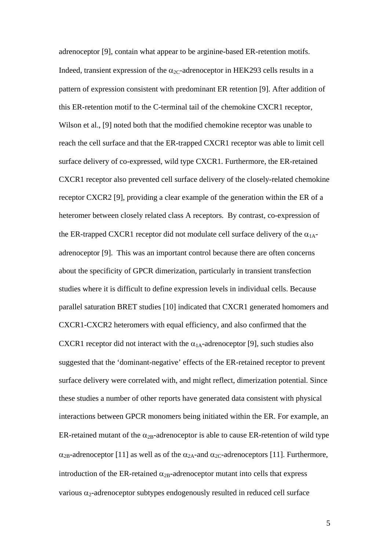adrenoceptor [9], contain what appear to be arginine-based ER-retention motifs. Indeed, transient expression of the  $\alpha_{2C}$ -adrenoceptor in HEK293 cells results in a pattern of expression consistent with predominant ER retention [9]. After addition of this ER-retention motif to the C-terminal tail of the chemokine CXCR1 receptor, Wilson et al., [9] noted both that the modified chemokine receptor was unable to reach the cell surface and that the ER-trapped CXCR1 receptor was able to limit cell surface delivery of co-expressed, wild type CXCR1. Furthermore, the ER-retained CXCR1 receptor also prevented cell surface delivery of the closely-related chemokine receptor CXCR2 [9], providing a clear example of the generation within the ER of a heteromer between closely related class A receptors. By contrast, co-expression of the ER-trapped CXCR1 receptor did not modulate cell surface delivery of the  $\alpha_{1A}$ adrenoceptor [9]. This was an important control because there are often concerns about the specificity of GPCR dimerization, particularly in transient transfection studies where it is difficult to define expression levels in individual cells. Because parallel saturation BRET studies [10] indicated that CXCR1 generated homomers and CXCR1-CXCR2 heteromers with equal efficiency, and also confirmed that the CXCR1 receptor did not interact with the  $\alpha_{1A}$ -adrenoceptor [9], such studies also suggested that the 'dominant-negative' effects of the ER-retained receptor to prevent surface delivery were correlated with, and might reflect, dimerization potential. Since these studies a number of other reports have generated data consistent with physical interactions between GPCR monomers being initiated within the ER. For example, an ER-retained mutant of the  $\alpha_{2B}$ -adrenoceptor is able to cause ER-retention of wild type  $\alpha_{2B}$ -adrenoceptor [11] as well as of the  $\alpha_{2A}$ -and  $\alpha_{2C}$ -adrenoceptors [11]. Furthermore, introduction of the ER-retained  $\alpha_{2B}$ -adrenoceptor mutant into cells that express various  $\alpha_2$ -adrenoceptor subtypes endogenously resulted in reduced cell surface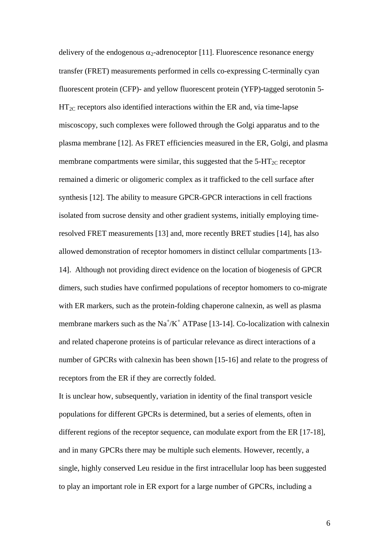delivery of the endogenous  $\alpha_2$ -adrenoceptor [11]. Fluorescence resonance energy transfer (FRET) measurements performed in cells co-expressing C-terminally cyan fluorescent protein (CFP)- and yellow fluorescent protein (YFP)-tagged serotonin 5-  $HT_{2C}$  receptors also identified interactions within the ER and, via time-lapse miscoscopy, such complexes were followed through the Golgi apparatus and to the plasma membrane [12]. As FRET efficiencies measured in the ER, Golgi, and plasma membrane compartments were similar, this suggested that the  $5-\text{HT}_{2C}$  receptor remained a dimeric or oligomeric complex as it trafficked to the cell surface after synthesis [12]. The ability to measure GPCR-GPCR interactions in cell fractions isolated from sucrose density and other gradient systems, initially employing timeresolved FRET measurements [13] and, more recently BRET studies [14], has also allowed demonstration of receptor homomers in distinct cellular compartments [13- 14]. Although not providing direct evidence on the location of biogenesis of GPCR dimers, such studies have confirmed populations of receptor homomers to co-migrate with ER markers, such as the protein-folding chaperone calnexin, as well as plasma membrane markers such as the  $Na^+/K^+$  ATPase [13-14]. Co-localization with calnexin and related chaperone proteins is of particular relevance as direct interactions of a number of GPCRs with calnexin has been shown [15-16] and relate to the progress of receptors from the ER if they are correctly folded.

It is unclear how, subsequently, variation in identity of the final transport vesicle populations for different GPCRs is determined, but a series of elements, often in different regions of the receptor sequence, can modulate export from the ER [17-18], and in many GPCRs there may be multiple such elements. However, recently, a single, highly conserved Leu residue in the first intracellular loop has been suggested to play an important role in ER export for a large number of GPCRs, including a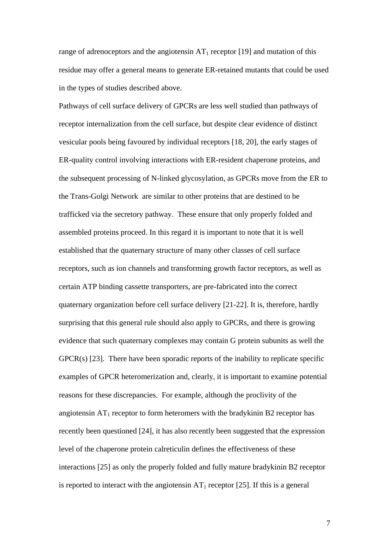range of adrenoceptors and the angiotensin  $AT_1$  receptor [19] and mutation of this residue may offer a general means to generate ER-retained mutants that could be used in the types of studies described above.

Pathways of cell surface delivery of GPCRs are less well studied than pathways of receptor internalization from the cell surface, but despite clear evidence of distinct vesicular pools being favoured by individual receptors [18, 20], the early stages of ER-quality control involving interactions with ER-resident chaperone proteins, and the subsequent processing of N-linked glycosylation, as GPCRs move from the ER to the Trans-Golgi Network are similar to other proteins that are destined to be trafficked via the secretory pathway. These ensure that only properly folded and assembled proteins proceed. In this regard it is important to note that it is well established that the quaternary structure of many other classes of cell surface receptors, such as ion channels and transforming growth factor receptors, as well as certain ATP binding cassette transporters, are pre-fabricated into the correct quaternary organization before cell surface delivery [21-22]. It is, therefore, hardly surprising that this general rule should also apply to GPCRs, and there is growing evidence that such quaternary complexes may contain G protein subunits as well the GPCR(s) [23]. There have been sporadic reports of the inability to replicate specific examples of GPCR heteromerization and, clearly, it is important to examine potential reasons for these discrepancies. For example, although the proclivity of the angiotensin  $AT_1$  receptor to form heteromers with the bradykinin B2 receptor has recently been questioned [24], it has also recently been suggested that the expression level of the chaperone protein calreticulin defines the effectiveness of these interactions [25] as only the properly folded and fully mature bradykinin B2 receptor is reported to interact with the angiotensin  $AT_1$  receptor [25]. If this is a general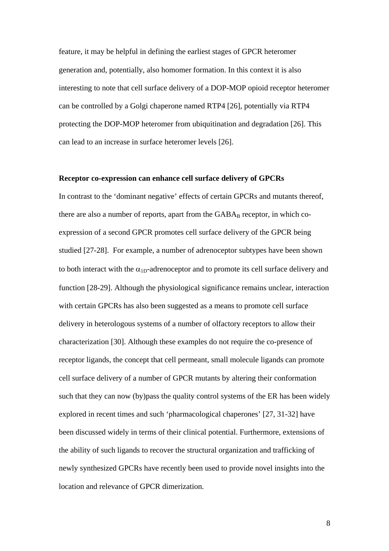feature, it may be helpful in defining the earliest stages of GPCR heteromer generation and, potentially, also homomer formation. In this context it is also interesting to note that cell surface delivery of a DOP-MOP opioid receptor heteromer can be controlled by a Golgi chaperone named RTP4 [26], potentially via RTP4 protecting the DOP-MOP heteromer from ubiquitination and degradation [26]. This can lead to an increase in surface heteromer levels [26].

#### **Receptor co-expression can enhance cell surface delivery of GPCRs**

In contrast to the 'dominant negative' effects of certain GPCRs and mutants thereof, there are also a number of reports, apart from the  $GABA_B$  receptor, in which coexpression of a second GPCR promotes cell surface delivery of the GPCR being studied [27-28]. For example, a number of adrenoceptor subtypes have been shown to both interact with the  $\alpha_{1D}$ -adrenoceptor and to promote its cell surface delivery and function [28-29]. Although the physiological significance remains unclear, interaction with certain GPCRs has also been suggested as a means to promote cell surface delivery in heterologous systems of a number of olfactory receptors to allow their characterization [30]. Although these examples do not require the co-presence of receptor ligands, the concept that cell permeant, small molecule ligands can promote cell surface delivery of a number of GPCR mutants by altering their conformation such that they can now (by)pass the quality control systems of the ER has been widely explored in recent times and such 'pharmacological chaperones' [27, 31-32] have been discussed widely in terms of their clinical potential. Furthermore, extensions of the ability of such ligands to recover the structural organization and trafficking of newly synthesized GPCRs have recently been used to provide novel insights into the location and relevance of GPCR dimerization.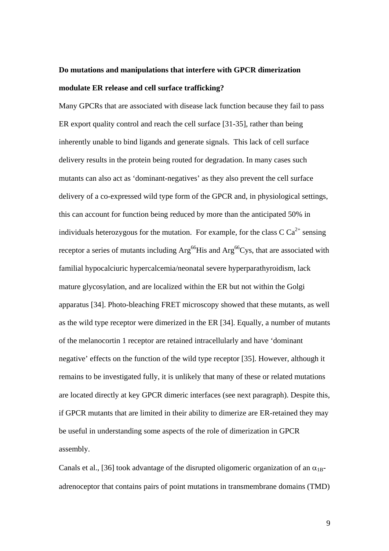# **Do mutations and manipulations that interfere with GPCR dimerization modulate ER release and cell surface trafficking?**

Many GPCRs that are associated with disease lack function because they fail to pass ER export quality control and reach the cell surface [31-35], rather than being inherently unable to bind ligands and generate signals. This lack of cell surface delivery results in the protein being routed for degradation. In many cases such mutants can also act as 'dominant-negatives' as they also prevent the cell surface delivery of a co-expressed wild type form of the GPCR and, in physiological settings, this can account for function being reduced by more than the anticipated 50% in individuals heterozygous for the mutation. For example, for the class  $C Ca^{2+}$  sensing receptor a series of mutants including Arg<sup>66</sup>His and Arg<sup>66</sup>Cys, that are associated with familial hypocalciuric hypercalcemia/neonatal severe hyperparathyroidism, lack mature glycosylation, and are localized within the ER but not within the Golgi apparatus [34]. Photo-bleaching FRET microscopy showed that these mutants, as well as the wild type receptor were dimerized in the ER [34]. Equally, a number of mutants of the melanocortin 1 receptor are retained intracellularly and have 'dominant negative' effects on the function of the wild type receptor [35]. However, although it remains to be investigated fully, it is unlikely that many of these or related mutations are located directly at key GPCR dimeric interfaces (see next paragraph). Despite this, if GPCR mutants that are limited in their ability to dimerize are ER-retained they may be useful in understanding some aspects of the role of dimerization in GPCR assembly.

Canals et al., [36] took advantage of the disrupted oligomeric organization of an  $\alpha_{1B}$ adrenoceptor that contains pairs of point mutations in transmembrane domains (TMD)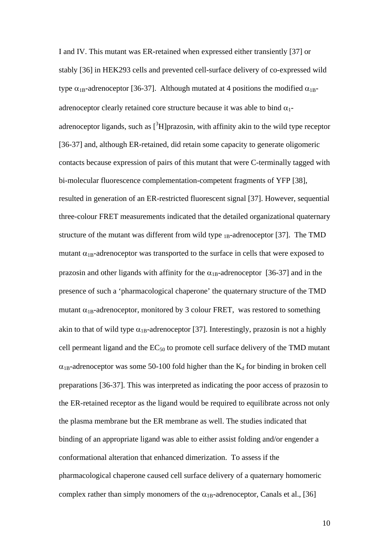I and IV. This mutant was ER-retained when expressed either transiently [37] or stably [36] in HEK293 cells and prevented cell-surface delivery of co-expressed wild type  $\alpha_{1B}$ -adrenoceptor [36-37]. Although mutated at 4 positions the modified  $\alpha_{1B}$ adrenoceptor clearly retained core structure because it was able to bind  $\alpha_1$ adrenoceptor ligands, such as  $[3H]$ prazosin, with affinity akin to the wild type receptor [36-37] and, although ER-retained, did retain some capacity to generate oligomeric contacts because expression of pairs of this mutant that were C-terminally tagged with bi-molecular fluorescence complementation-competent fragments of YFP [38], resulted in generation of an ER-restricted fluorescent signal [37]. However, sequential three-colour FRET measurements indicated that the detailed organizational quaternary structure of the mutant was different from wild type  $_{1B}$ -adrenoceptor [37]. The TMD mutant  $\alpha_{1B}$ -adrenoceptor was transported to the surface in cells that were exposed to prazosin and other ligands with affinity for the  $\alpha_{1B}$ -adrenoceptor [36-37] and in the presence of such a 'pharmacological chaperone' the quaternary structure of the TMD mutant  $\alpha_{1B}$ -adrenoceptor, monitored by 3 colour FRET, was restored to something akin to that of wild type  $\alpha_{1B}$ -adrenoceptor [37]. Interestingly, prazosin is not a highly cell permeant ligand and the  $EC_{50}$  to promote cell surface delivery of the TMD mutant  $\alpha_{1B}$ -adrenoceptor was some 50-100 fold higher than the  $K_d$  for binding in broken cell preparations [36-37]. This was interpreted as indicating the poor access of prazosin to the ER-retained receptor as the ligand would be required to equilibrate across not only the plasma membrane but the ER membrane as well. The studies indicated that binding of an appropriate ligand was able to either assist folding and/or engender a conformational alteration that enhanced dimerization. To assess if the pharmacological chaperone caused cell surface delivery of a quaternary homomeric complex rather than simply monomers of the  $\alpha_{1B}$ -adrenoceptor, Canals et al., [36]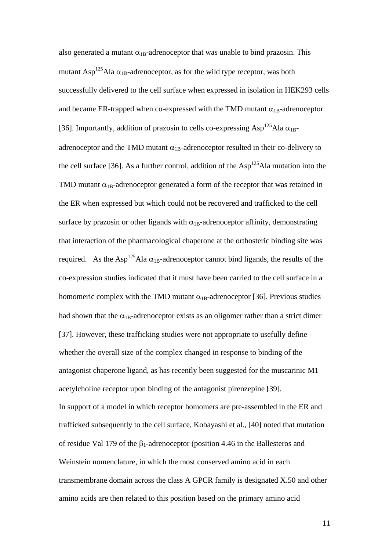also generated a mutant  $\alpha_{1B}$ -adrenoceptor that was unable to bind prazosin. This mutant Asp<sup>125</sup>Ala  $\alpha_{1B}$ -adrenoceptor, as for the wild type receptor, was both successfully delivered to the cell surface when expressed in isolation in HEK293 cells and became ER-trapped when co-expressed with the TMD mutant  $\alpha_{1B}$ -adrenoceptor [36]. Importantly, addition of prazosin to cells co-expressing  $\text{Asp}^{125}\text{Ala}\ \alpha_{1B}$ adrenoceptor and the TMD mutant  $\alpha_{1B}$ -adrenoceptor resulted in their co-delivery to the cell surface [36]. As a further control, addition of the  $Asp<sup>125</sup>Ala$  mutation into the TMD mutant  $\alpha_{1B}$ -adrenoceptor generated a form of the receptor that was retained in the ER when expressed but which could not be recovered and trafficked to the cell surface by prazosin or other ligands with  $\alpha_{1B}$ -adrenoceptor affinity, demonstrating that interaction of the pharmacological chaperone at the orthosteric binding site was required. As the Asp<sup>125</sup>Ala  $\alpha_{1B}$ -adrenoceptor cannot bind ligands, the results of the co-expression studies indicated that it must have been carried to the cell surface in a homomeric complex with the TMD mutant  $\alpha_{1B}$ -adrenoceptor [36]. Previous studies had shown that the  $\alpha_{1B}$ -adrenoceptor exists as an oligomer rather than a strict dimer [37]. However, these trafficking studies were not appropriate to usefully define whether the overall size of the complex changed in response to binding of the antagonist chaperone ligand, as has recently been suggested for the muscarinic M1 acetylcholine receptor upon binding of the antagonist pirenzepine [39]. In support of a model in which receptor homomers are pre-assembled in the ER and trafficked subsequently to the cell surface, Kobayashi et al., [40] noted that mutation of residue Val 179 of the  $\beta_1$ -adrenoceptor (position 4.46 in the Ballesteros and Weinstein nomenclature, in which the most conserved amino acid in each transmembrane domain across the class A GPCR family is designated X.50 and other amino acids are then related to this position based on the primary amino acid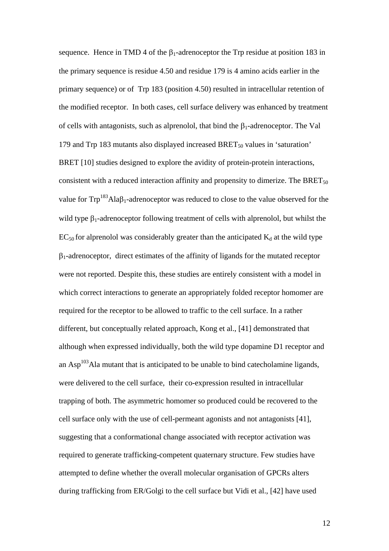sequence. Hence in TMD 4 of the  $\beta_1$ -adrenoceptor the Trp residue at position 183 in the primary sequence is residue 4.50 and residue 179 is 4 amino acids earlier in the primary sequence) or of Trp 183 (position 4.50) resulted in intracellular retention of the modified receptor. In both cases, cell surface delivery was enhanced by treatment of cells with antagonists, such as alprenolol, that bind the  $\beta_1$ -adrenoceptor. The Val 179 and Trp 183 mutants also displayed increased  $BRET<sub>50</sub>$  values in 'saturation' BRET [10] studies designed to explore the avidity of protein-protein interactions, consistent with a reduced interaction affinity and propensity to dimerize. The BRET $_{50}$ value for  $\text{Trp}^{183}\text{Ala} \beta_1$ -adrenoceptor was reduced to close to the value observed for the wild type  $\beta_1$ -adrenoceptor following treatment of cells with alprenolol, but whilst the  $EC_{50}$  for alprenolol was considerably greater than the anticipated  $K_d$  at the wild type  $\beta_1$ -adrenoceptor, direct estimates of the affinity of ligands for the mutated receptor were not reported. Despite this, these studies are entirely consistent with a model in which correct interactions to generate an appropriately folded receptor homomer are required for the receptor to be allowed to traffic to the cell surface. In a rather different, but conceptually related approach, Kong et al., [41] demonstrated that although when expressed individually, both the wild type dopamine D1 receptor and an  $\text{Asp}^{103}\text{Ala}$  mutant that is anticipated to be unable to bind cates cholamine ligands, were delivered to the cell surface, their co-expression resulted in intracellular trapping of both. The asymmetric homomer so produced could be recovered to the cell surface only with the use of cell-permeant agonists and not antagonists [41], suggesting that a conformational change associated with receptor activation was required to generate trafficking-competent quaternary structure. Few studies have attempted to define whether the overall molecular organisation of GPCRs alters during trafficking from ER/Golgi to the cell surface but Vidi et al., [42] have used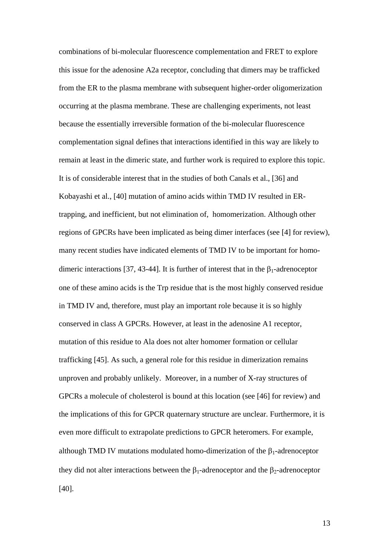combinations of bi-molecular fluorescence complementation and FRET to explore this issue for the adenosine A2a receptor, concluding that dimers may be trafficked from the ER to the plasma membrane with subsequent higher-order oligomerization occurring at the plasma membrane. These are challenging experiments, not least because the essentially irreversible formation of the bi-molecular fluorescence complementation signal defines that interactions identified in this way are likely to remain at least in the dimeric state, and further work is required to explore this topic. It is of considerable interest that in the studies of both Canals et al., [36] and Kobayashi et al., [40] mutation of amino acids within TMD IV resulted in ERtrapping, and inefficient, but not elimination of, homomerization. Although other regions of GPCRs have been implicated as being dimer interfaces (see [4] for review), many recent studies have indicated elements of TMD IV to be important for homodimeric interactions [37, 43-44]. It is further of interest that in the  $\beta_1$ -adrenoceptor one of these amino acids is the Trp residue that is the most highly conserved residue in TMD IV and, therefore, must play an important role because it is so highly conserved in class A GPCRs. However, at least in the adenosine A1 receptor, mutation of this residue to Ala does not alter homomer formation or cellular trafficking [45]. As such, a general role for this residue in dimerization remains unproven and probably unlikely. Moreover, in a number of X-ray structures of GPCRs a molecule of cholesterol is bound at this location (see [46] for review) and the implications of this for GPCR quaternary structure are unclear. Furthermore, it is even more difficult to extrapolate predictions to GPCR heteromers. For example, although TMD IV mutations modulated homo-dimerization of the  $\beta_1$ -adrenoceptor they did not alter interactions between the  $\beta_1$ -adrenoceptor and the  $\beta_2$ -adrenoceptor [40].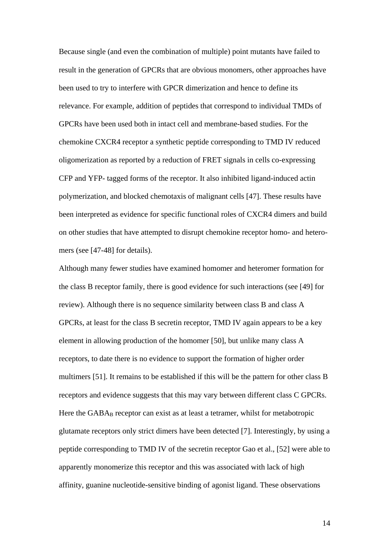Because single (and even the combination of multiple) point mutants have failed to result in the generation of GPCRs that are obvious monomers, other approaches have been used to try to interfere with GPCR dimerization and hence to define its relevance. For example, addition of peptides that correspond to individual TMDs of GPCRs have been used both in intact cell and membrane-based studies. For the chemokine CXCR4 receptor a synthetic peptide corresponding to TMD IV reduced oligomerization as reported by a reduction of FRET signals in cells co-expressing CFP and YFP- tagged forms of the receptor. It also inhibited ligand-induced actin polymerization, and blocked chemotaxis of malignant cells [47]. These results have been interpreted as evidence for specific functional roles of CXCR4 dimers and build on other studies that have attempted to disrupt chemokine receptor homo- and heteromers (see [47-48] for details).

Although many fewer studies have examined homomer and heteromer formation for the class B receptor family, there is good evidence for such interactions (see [49] for review). Although there is no sequence similarity between class B and class A GPCRs, at least for the class B secretin receptor, TMD IV again appears to be a key element in allowing production of the homomer [50], but unlike many class A receptors, to date there is no evidence to support the formation of higher order multimers [51]. It remains to be established if this will be the pattern for other class B receptors and evidence suggests that this may vary between different class C GPCRs. Here the  $GABA_B$  receptor can exist as at least a tetramer, whilst for metabotropic glutamate receptors only strict dimers have been detected [7]. Interestingly, by using a peptide corresponding to TMD IV of the secretin receptor Gao et al., [52] were able to apparently monomerize this receptor and this was associated with lack of high affinity, guanine nucleotide-sensitive binding of agonist ligand. These observations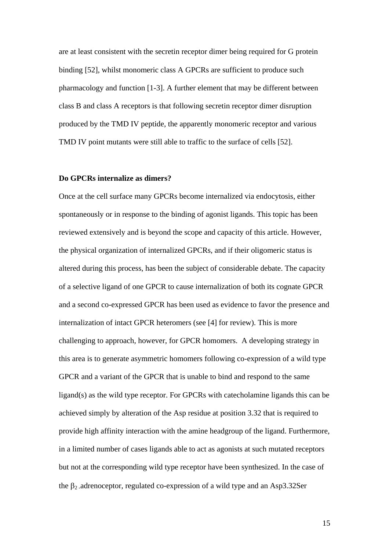are at least consistent with the secretin receptor dimer being required for G protein binding [52], whilst monomeric class A GPCRs are sufficient to produce such pharmacology and function [1-3]. A further element that may be different between class B and class A receptors is that following secretin receptor dimer disruption produced by the TMD IV peptide, the apparently monomeric receptor and various TMD IV point mutants were still able to traffic to the surface of cells [52].

#### **Do GPCRs internalize as dimers?**

Once at the cell surface many GPCRs become internalized via endocytosis, either spontaneously or in response to the binding of agonist ligands. This topic has been reviewed extensively and is beyond the scope and capacity of this article. However, the physical organization of internalized GPCRs, and if their oligomeric status is altered during this process, has been the subject of considerable debate. The capacity of a selective ligand of one GPCR to cause internalization of both its cognate GPCR and a second co-expressed GPCR has been used as evidence to favor the presence and internalization of intact GPCR heteromers (see [4] for review). This is more challenging to approach, however, for GPCR homomers. A developing strategy in this area is to generate asymmetric homomers following co-expression of a wild type GPCR and a variant of the GPCR that is unable to bind and respond to the same ligand(s) as the wild type receptor. For GPCRs with catecholamine ligands this can be achieved simply by alteration of the Asp residue at position 3.32 that is required to provide high affinity interaction with the amine headgroup of the ligand. Furthermore, in a limited number of cases ligands able to act as agonists at such mutated receptors but not at the corresponding wild type receptor have been synthesized. In the case of the  $\beta_2$  adrenoceptor, regulated co-expression of a wild type and an Asp3.32Ser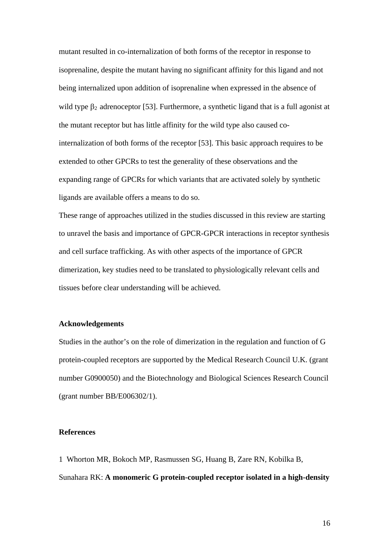mutant resulted in co-internalization of both forms of the receptor in response to isoprenaline, despite the mutant having no significant affinity for this ligand and not being internalized upon addition of isoprenaline when expressed in the absence of wild type  $\beta_2$  adrenoceptor [53]. Furthermore, a synthetic ligand that is a full agonist at the mutant receptor but has little affinity for the wild type also caused cointernalization of both forms of the receptor [53]. This basic approach requires to be extended to other GPCRs to test the generality of these observations and the expanding range of GPCRs for which variants that are activated solely by synthetic ligands are available offers a means to do so.

These range of approaches utilized in the studies discussed in this review are starting to unravel the basis and importance of GPCR-GPCR interactions in receptor synthesis and cell surface trafficking. As with other aspects of the importance of GPCR dimerization, key studies need to be translated to physiologically relevant cells and tissues before clear understanding will be achieved.

## **Acknowledgements**

Studies in the author's on the role of dimerization in the regulation and function of G protein-coupled receptors are supported by the Medical Research Council U.K. (grant number G0900050) and the Biotechnology and Biological Sciences Research Council (grant number BB/E006302/1).

#### **References**

1 Whorton MR, Bokoch MP, Rasmussen SG, Huang B, Zare RN, Kobilka B, Sunahara RK: **A monomeric G protein-coupled receptor isolated in a high-density**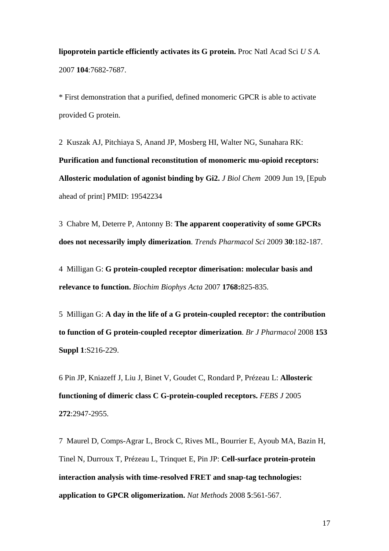**lipoprotein particle efficiently activates its G protein.** Proc Natl Acad Sci *U S A.* 2007 **104**:7682-7687.

\* First demonstration that a purified, defined monomeric GPCR is able to activate provided G protein.

2 Kuszak AJ, Pitchiaya S, Anand JP, Mosberg HI, Walter NG, Sunahara RK: **[Purification and functional reconstitution of monomeric mu-opioid receptors:](http://www.ncbi.nlm.nih.gov/pubmed/19542234?ordinalpos=1&itool=EntrezSystem2.PEntrez.Pubmed.Pubmed_ResultsPanel.Pubmed_DefaultReportPanel.Pubmed_RVDocSum)  [Allosteric modulation of agonist binding by Gi2.](http://www.ncbi.nlm.nih.gov/pubmed/19542234?ordinalpos=1&itool=EntrezSystem2.PEntrez.Pubmed.Pubmed_ResultsPanel.Pubmed_DefaultReportPanel.Pubmed_RVDocSum)** *J Biol Chem* 2009 Jun 19, [Epub ahead of print] PMID: 19542234

3 Chabre M, Deterre P, Antonny B: **[The apparent cooperativity of some GPCRs](http://www.ncbi.nlm.nih.gov/pubmed/19269046?ordinalpos=1&itool=EntrezSystem2.PEntrez.Pubmed.Pubmed_ResultsPanel.Pubmed_DefaultReportPanel.Pubmed_RVDocSum)  [does not necessarily imply dimerization](http://www.ncbi.nlm.nih.gov/pubmed/19269046?ordinalpos=1&itool=EntrezSystem2.PEntrez.Pubmed.Pubmed_ResultsPanel.Pubmed_DefaultReportPanel.Pubmed_RVDocSum)**. *Trends Pharmacol Sci* 2009 **30**:182-187.

4 Milligan G: **[G protein-coupled receptor dimerisation: molecular basis and](http://www.ncbi.nlm.nih.gov/pubmed/17069751?ordinalpos=2&itool=EntrezSystem2.PEntrez.Pubmed.Pubmed_ResultsPanel.Pubmed_DefaultReportPanel.Pubmed_RVDocSum)  [relevance to function.](http://www.ncbi.nlm.nih.gov/pubmed/17069751?ordinalpos=2&itool=EntrezSystem2.PEntrez.Pubmed.Pubmed_ResultsPanel.Pubmed_DefaultReportPanel.Pubmed_RVDocSum)** *Biochim Biophys Acta* 2007 **1768:**825-835.

5 Milligan G: **[A day in the life of a G protein-coupled receptor: the contribution](http://www.ncbi.nlm.nih.gov/pubmed/17965750?ordinalpos=27&itool=EntrezSystem2.PEntrez.Pubmed.Pubmed_ResultsPanel.Pubmed_DefaultReportPanel.Pubmed_RVDocSum)  [to function of G protein-coupled receptor dimerization](http://www.ncbi.nlm.nih.gov/pubmed/17965750?ordinalpos=27&itool=EntrezSystem2.PEntrez.Pubmed.Pubmed_ResultsPanel.Pubmed_DefaultReportPanel.Pubmed_RVDocSum)**. *Br J Pharmacol* 2008 **153 Suppl 1**:S216-229.

6 [Pin JP](http://www.ncbi.nlm.nih.gov/sites/entrez?Db=pubmed&Cmd=Search&Term=%22Pin%20JP%22%5BAuthor%5D&itool=EntrezSystem2.PEntrez.Pubmed.Pubmed_ResultsPanel.Pubmed_DiscoveryPanel.Pubmed_RVAbstractPlus), [Kniazeff J,](http://www.ncbi.nlm.nih.gov/sites/entrez?Db=pubmed&Cmd=Search&Term=%22Kniazeff%20J%22%5BAuthor%5D&itool=EntrezSystem2.PEntrez.Pubmed.Pubmed_ResultsPanel.Pubmed_DiscoveryPanel.Pubmed_RVAbstractPlus) [Liu J](http://www.ncbi.nlm.nih.gov/sites/entrez?Db=pubmed&Cmd=Search&Term=%22Liu%20J%22%5BAuthor%5D&itool=EntrezSystem2.PEntrez.Pubmed.Pubmed_ResultsPanel.Pubmed_DiscoveryPanel.Pubmed_RVAbstractPlus), [Binet V](http://www.ncbi.nlm.nih.gov/sites/entrez?Db=pubmed&Cmd=Search&Term=%22Binet%20V%22%5BAuthor%5D&itool=EntrezSystem2.PEntrez.Pubmed.Pubmed_ResultsPanel.Pubmed_DiscoveryPanel.Pubmed_RVAbstractPlus), [Goudet C](http://www.ncbi.nlm.nih.gov/sites/entrez?Db=pubmed&Cmd=Search&Term=%22Goudet%20C%22%5BAuthor%5D&itool=EntrezSystem2.PEntrez.Pubmed.Pubmed_ResultsPanel.Pubmed_DiscoveryPanel.Pubmed_RVAbstractPlus), [Rondard P](http://www.ncbi.nlm.nih.gov/sites/entrez?Db=pubmed&Cmd=Search&Term=%22Rondard%20P%22%5BAuthor%5D&itool=EntrezSystem2.PEntrez.Pubmed.Pubmed_ResultsPanel.Pubmed_DiscoveryPanel.Pubmed_RVAbstractPlus), [Prézeau L:](http://www.ncbi.nlm.nih.gov/sites/entrez?Db=pubmed&Cmd=Search&Term=%22Pr%C3%A9zeau%20L%22%5BAuthor%5D&itool=EntrezSystem2.PEntrez.Pubmed.Pubmed_ResultsPanel.Pubmed_DiscoveryPanel.Pubmed_RVAbstractPlus) **Allosteric functioning of dimeric class C G-protein-coupled receptors.** *FEBS J* 2005 **272**:2947-2955.

7 Maurel D, Comps-Agrar L, Brock C, Rives ML, Bourrier E, Ayoub MA, Bazin H, Tinel N, Durroux T, Prézeau L, Trinquet E, Pin JP: **[Cell-surface protein-protein](http://www.ncbi.nlm.nih.gov/pubmed/18488035?ordinalpos=1&itool=EntrezSystem2.PEntrez.Pubmed.Pubmed_ResultsPanel.Pubmed_DefaultReportPanel.Pubmed_RVDocSum)  [interaction analysis with time-resolved FRET and snap-tag technologies:](http://www.ncbi.nlm.nih.gov/pubmed/18488035?ordinalpos=1&itool=EntrezSystem2.PEntrez.Pubmed.Pubmed_ResultsPanel.Pubmed_DefaultReportPanel.Pubmed_RVDocSum)  [application to GPCR oligomerization.](http://www.ncbi.nlm.nih.gov/pubmed/18488035?ordinalpos=1&itool=EntrezSystem2.PEntrez.Pubmed.Pubmed_ResultsPanel.Pubmed_DefaultReportPanel.Pubmed_RVDocSum)** *Nat Methods* 2008 **5**:561-567.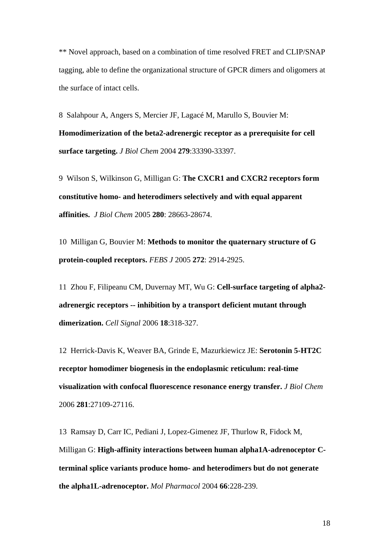\*\* Novel approach, based on a combination of time resolved FRET and CLIP/SNAP tagging, able to define the organizational structure of GPCR dimers and oligomers at the surface of intact cells.

8 Salahpour A, Angers S, Mercier JF, Lagacé M, Marullo S, Bouvier M: **[Homodimerization of the beta2-adrenergic receptor as a prerequisite for cell](http://www.ncbi.nlm.nih.gov/pubmed/15155738?ordinalpos=3&itool=EntrezSystem2.PEntrez.Pubmed.Pubmed_ResultsPanel.Pubmed_DefaultReportPanel.Pubmed_RVDocSum)  [surface targeting.](http://www.ncbi.nlm.nih.gov/pubmed/15155738?ordinalpos=3&itool=EntrezSystem2.PEntrez.Pubmed.Pubmed_ResultsPanel.Pubmed_DefaultReportPanel.Pubmed_RVDocSum)** *J Biol Chem* 2004 **279**:33390-33397.

9 Wilson S, Wilkinson G, Milligan G: **The CXCR1 and CXCR2 receptors form constitutive homo- and heterodimers selectively and with equal apparent affinities.** *J Biol Chem* 2005 **280**: 28663-28674.

10 Milligan G, Bouvier M: **Methods to monitor the quaternary structure of G protein-coupled receptors.** *FEBS J* 2005 **272**: 2914-2925.

11 Zhou F, Filipeanu CM, Duvernay MT, Wu G: **[Cell-surface targeting of alpha2](http://www.ncbi.nlm.nih.gov/pubmed/15961277?ordinalpos=5&itool=EntrezSystem2.PEntrez.Pubmed.Pubmed_ResultsPanel.Pubmed_DefaultReportPanel.Pubmed_RVDocSum) [adrenergic receptors -- inhibition by a transport deficient mutant through](http://www.ncbi.nlm.nih.gov/pubmed/15961277?ordinalpos=5&itool=EntrezSystem2.PEntrez.Pubmed.Pubmed_ResultsPanel.Pubmed_DefaultReportPanel.Pubmed_RVDocSum)  [dimerization.](http://www.ncbi.nlm.nih.gov/pubmed/15961277?ordinalpos=5&itool=EntrezSystem2.PEntrez.Pubmed.Pubmed_ResultsPanel.Pubmed_DefaultReportPanel.Pubmed_RVDocSum)** *Cell Signal* 2006 **18**:318-327.

12 Herrick-Davis K, Weaver BA, Grinde E, Mazurkiewicz JE: **[Serotonin 5-HT2C](http://www.ncbi.nlm.nih.gov/pubmed/16857671?ordinalpos=39&itool=EntrezSystem2.PEntrez.Pubmed.Pubmed_ResultsPanel.Pubmed_DefaultReportPanel.Pubmed_RVDocSum)  [receptor homodimer biogenesis in the endoplasmic reticulum: real-time](http://www.ncbi.nlm.nih.gov/pubmed/16857671?ordinalpos=39&itool=EntrezSystem2.PEntrez.Pubmed.Pubmed_ResultsPanel.Pubmed_DefaultReportPanel.Pubmed_RVDocSum)  [visualization with confocal fluorescence resonance energy transfer.](http://www.ncbi.nlm.nih.gov/pubmed/16857671?ordinalpos=39&itool=EntrezSystem2.PEntrez.Pubmed.Pubmed_ResultsPanel.Pubmed_DefaultReportPanel.Pubmed_RVDocSum)** *J Biol Chem* 2006 **281**:27109-27116.

13 Ramsay D, Carr IC, Pediani J, Lopez-Gimenez JF, Thurlow R, Fidock M, Milligan G: **[High-affinity interactions between human alpha1A-adrenoceptor C](http://www.ncbi.nlm.nih.gov/pubmed/15266013?ordinalpos=2&itool=EntrezSystem2.PEntrez.Pubmed.Pubmed_ResultsPanel.Pubmed_DefaultReportPanel.Pubmed_RVDocSum)[terminal splice variants produce homo- and heterodimers but do not generate](http://www.ncbi.nlm.nih.gov/pubmed/15266013?ordinalpos=2&itool=EntrezSystem2.PEntrez.Pubmed.Pubmed_ResultsPanel.Pubmed_DefaultReportPanel.Pubmed_RVDocSum)  [the alpha1L-adrenoceptor.](http://www.ncbi.nlm.nih.gov/pubmed/15266013?ordinalpos=2&itool=EntrezSystem2.PEntrez.Pubmed.Pubmed_ResultsPanel.Pubmed_DefaultReportPanel.Pubmed_RVDocSum)** *Mol Pharmacol* 2004 **66**:228-239.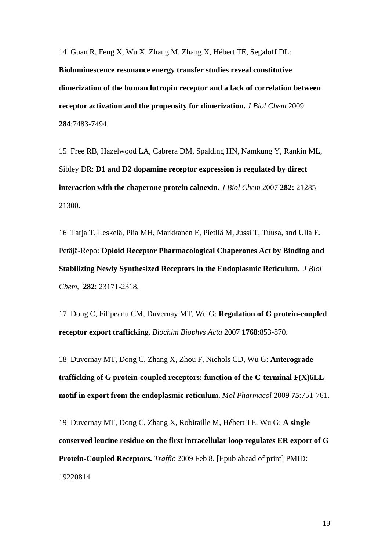14 Guan R, Feng X, Wu X, Zhang M, Zhang X, Hébert TE, Segaloff DL: **[Bioluminescence resonance energy transfer studies reveal constitutive](http://www.ncbi.nlm.nih.gov/pubmed/19147490?ordinalpos=4&itool=EntrezSystem2.PEntrez.Pubmed.Pubmed_ResultsPanel.Pubmed_DefaultReportPanel.Pubmed_RVDocSum)  [dimerization of the human lutropin receptor and a lack of correlation between](http://www.ncbi.nlm.nih.gov/pubmed/19147490?ordinalpos=4&itool=EntrezSystem2.PEntrez.Pubmed.Pubmed_ResultsPanel.Pubmed_DefaultReportPanel.Pubmed_RVDocSum)  [receptor activation and the propensity for dimerization.](http://www.ncbi.nlm.nih.gov/pubmed/19147490?ordinalpos=4&itool=EntrezSystem2.PEntrez.Pubmed.Pubmed_ResultsPanel.Pubmed_DefaultReportPanel.Pubmed_RVDocSum)** *J Biol Chem* 2009 **284**:7483-7494.

15 Free RB, Hazelwood LA, Cabrera DM, Spalding HN, Namkung Y, Rankin ML, Sibley DR: **[D1 and D2 dopamine receptor expression is regulated by direct](http://www.ncbi.nlm.nih.gov/pubmed/17395585?ordinalpos=2&itool=EntrezSystem2.PEntrez.Pubmed.Pubmed_ResultsPanel.Pubmed_DefaultReportPanel.Pubmed_RVDocSum)  [interaction with the chaperone protein calnexin.](http://www.ncbi.nlm.nih.gov/pubmed/17395585?ordinalpos=2&itool=EntrezSystem2.PEntrez.Pubmed.Pubmed_ResultsPanel.Pubmed_DefaultReportPanel.Pubmed_RVDocSum)** *J Biol Chem* 2007 **282:** 21285- 21300.

16 Tarja T, Leskelä, Piia MH, Markkanen E, Pietilä M, Jussi T, Tuusa, and Ulla E. Petäjä-Repo: **Opioid Receptor Pharmacological Chaperones Act by Binding and Stabilizing Newly Synthesized Receptors in the Endoplasmic Reticulum.** *J Biol Chem*, **282**: 23171-2318.

17 Dong C, Filipeanu CM, Duvernay MT, Wu G: **[Regulation of G protein-coupled](http://www.ncbi.nlm.nih.gov/pubmed/17074298?ordinalpos=3&itool=EntrezSystem2.PEntrez.Pubmed.Pubmed_ResultsPanel.Pubmed_DefaultReportPanel.Pubmed_RVDocSum)  [receptor export trafficking.](http://www.ncbi.nlm.nih.gov/pubmed/17074298?ordinalpos=3&itool=EntrezSystem2.PEntrez.Pubmed.Pubmed_ResultsPanel.Pubmed_DefaultReportPanel.Pubmed_RVDocSum)** *Biochim Biophys Acta* 2007 **1768**:853-870.

18 Duvernay MT, Dong C, Zhang X, Zhou F, Nichols CD, Wu G: **[Anterograde](http://www.ncbi.nlm.nih.gov/pubmed/19118123?ordinalpos=2&itool=EntrezSystem2.PEntrez.Pubmed.Pubmed_ResultsPanel.Pubmed_DefaultReportPanel.Pubmed_RVDocSum)  [trafficking of G protein-coupled receptors: function of the C-terminal F\(X\)6LL](http://www.ncbi.nlm.nih.gov/pubmed/19118123?ordinalpos=2&itool=EntrezSystem2.PEntrez.Pubmed.Pubmed_ResultsPanel.Pubmed_DefaultReportPanel.Pubmed_RVDocSum)  [motif in export from the endoplasmic reticulum.](http://www.ncbi.nlm.nih.gov/pubmed/19118123?ordinalpos=2&itool=EntrezSystem2.PEntrez.Pubmed.Pubmed_ResultsPanel.Pubmed_DefaultReportPanel.Pubmed_RVDocSum)** *Mol Pharmacol* 2009 **75**:751-761.

19 Duvernay MT, Dong C, Zhang X, Robitaille M, Hébert TE, Wu G: **[A single](http://www.ncbi.nlm.nih.gov/pubmed/19220814?ordinalpos=1&itool=EntrezSystem2.PEntrez.Pubmed.Pubmed_ResultsPanel.Pubmed_DefaultReportPanel.Pubmed_RVDocSum)  [conserved leucine residue on the first intracellular loop regulates ER export of G](http://www.ncbi.nlm.nih.gov/pubmed/19220814?ordinalpos=1&itool=EntrezSystem2.PEntrez.Pubmed.Pubmed_ResultsPanel.Pubmed_DefaultReportPanel.Pubmed_RVDocSum)  [Protein-Coupled Receptors.](http://www.ncbi.nlm.nih.gov/pubmed/19220814?ordinalpos=1&itool=EntrezSystem2.PEntrez.Pubmed.Pubmed_ResultsPanel.Pubmed_DefaultReportPanel.Pubmed_RVDocSum)** *Traffic* 2009 Feb 8. [Epub ahead of print] PMID: 19220814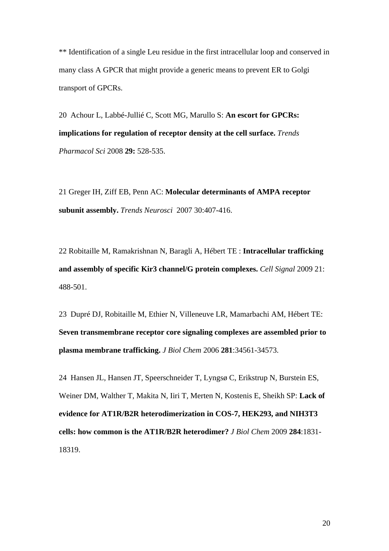\*\* Identification of a single Leu residue in the first intracellular loop and conserved in many class A GPCR that might provide a generic means to prevent ER to Golgi transport of GPCRs.

20 Achour L, Labbé-Jullié C, Scott MG, Marullo S: **[An escort for GPCRs:](http://www.ncbi.nlm.nih.gov/pubmed/18760490?ordinalpos=6&itool=EntrezSystem2.PEntrez.Pubmed.Pubmed_ResultsPanel.Pubmed_DefaultReportPanel.Pubmed_RVDocSum)  [implications for regulation of receptor density at the cell surface.](http://www.ncbi.nlm.nih.gov/pubmed/18760490?ordinalpos=6&itool=EntrezSystem2.PEntrez.Pubmed.Pubmed_ResultsPanel.Pubmed_DefaultReportPanel.Pubmed_RVDocSum)** *Trends Pharmacol Sci* 2008 **29:** 528-535.

21 Greger IH, Ziff EB, Penn AC: **[Molecular determinants of AMPA receptor](http://www.ncbi.nlm.nih.gov/pubmed/17629578?ordinalpos=22&itool=EntrezSystem2.PEntrez.Pubmed.Pubmed_ResultsPanel.Pubmed_DefaultReportPanel.Pubmed_RVDocSum)  [subunit assembly.](http://www.ncbi.nlm.nih.gov/pubmed/17629578?ordinalpos=22&itool=EntrezSystem2.PEntrez.Pubmed.Pubmed_ResultsPanel.Pubmed_DefaultReportPanel.Pubmed_RVDocSum)** *Trends Neurosci* 2007 30:407-416.

22 Robitaille M, Ramakrishnan N, Baragli A, Hébert TE : **[Intracellular trafficking](http://www.ncbi.nlm.nih.gov/pubmed/19135528?ordinalpos=6&itool=EntrezSystem2.PEntrez.Pubmed.Pubmed_ResultsPanel.Pubmed_DefaultReportPanel.Pubmed_RVDocSum)  [and assembly of specific Kir3 channel/G protein complexes.](http://www.ncbi.nlm.nih.gov/pubmed/19135528?ordinalpos=6&itool=EntrezSystem2.PEntrez.Pubmed.Pubmed_ResultsPanel.Pubmed_DefaultReportPanel.Pubmed_RVDocSum)** *Cell Signal* 2009 21: 488-501.

23 Dupré DJ, Robitaille M, Ethier N, Villeneuve LR, Mamarbachi AM, Hébert TE: **[Seven transmembrane receptor core signaling complexes are assembled prior to](http://www.ncbi.nlm.nih.gov/pubmed/16959776?ordinalpos=13&itool=EntrezSystem2.PEntrez.Pubmed.Pubmed_ResultsPanel.Pubmed_DefaultReportPanel.Pubmed_RVDocSum)  [plasma membrane trafficking.](http://www.ncbi.nlm.nih.gov/pubmed/16959776?ordinalpos=13&itool=EntrezSystem2.PEntrez.Pubmed.Pubmed_ResultsPanel.Pubmed_DefaultReportPanel.Pubmed_RVDocSum)** *J Biol Chem* 2006 **281**:34561-34573.

24 Hansen JL, Hansen JT, Speerschneider T, Lyngsø C, Erikstrup N, Burstein ES, Weiner DM, Walther T, Makita N, Iiri T, Merten N, Kostenis E, Sheikh SP: **[Lack of](http://www.ncbi.nlm.nih.gov/pubmed/19017652?ordinalpos=4&itool=EntrezSystem2.PEntrez.Pubmed.Pubmed_ResultsPanel.Pubmed_DefaultReportPanel.Pubmed_RVDocSum)  [evidence for AT1R/B2R heterodimerization in COS-7, HEK293, and NIH3T3](http://www.ncbi.nlm.nih.gov/pubmed/19017652?ordinalpos=4&itool=EntrezSystem2.PEntrez.Pubmed.Pubmed_ResultsPanel.Pubmed_DefaultReportPanel.Pubmed_RVDocSum)  [cells: how common is the AT1R/B2R heterodimer?](http://www.ncbi.nlm.nih.gov/pubmed/19017652?ordinalpos=4&itool=EntrezSystem2.PEntrez.Pubmed.Pubmed_ResultsPanel.Pubmed_DefaultReportPanel.Pubmed_RVDocSum)** *J Biol Chem* 2009 **284**:1831- 18319.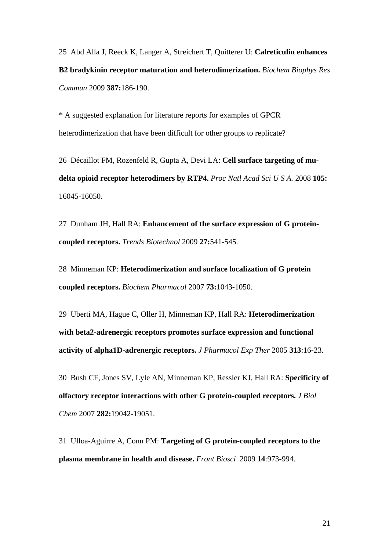25 Abd Alla J, Reeck K, Langer A, Streichert T, Quitterer U: **[Calreticulin enhances](http://www.ncbi.nlm.nih.gov/pubmed/19580784?ordinalpos=6&itool=EntrezSystem2.PEntrez.Pubmed.Pubmed_ResultsPanel.Pubmed_DefaultReportPanel.Pubmed_RVDocSum)  [B2 bradykinin receptor maturation and heterodimerization.](http://www.ncbi.nlm.nih.gov/pubmed/19580784?ordinalpos=6&itool=EntrezSystem2.PEntrez.Pubmed.Pubmed_ResultsPanel.Pubmed_DefaultReportPanel.Pubmed_RVDocSum)** *Biochem Biophys Res Commun* 2009 **387:**186-190.

\* A suggested explanation for literature reports for examples of GPCR heterodimerization that have been difficult for other groups to replicate?

26 Décaillot FM, Rozenfeld R, Gupta A, Devi LA: **[Cell surface targeting of mu](http://www.ncbi.nlm.nih.gov/pubmed/18836069?ordinalpos=4&itool=EntrezSystem2.PEntrez.Pubmed.Pubmed_ResultsPanel.Pubmed_DefaultReportPanel.Pubmed_RVDocSum)[delta opioid receptor heterodimers by RTP4.](http://www.ncbi.nlm.nih.gov/pubmed/18836069?ordinalpos=4&itool=EntrezSystem2.PEntrez.Pubmed.Pubmed_ResultsPanel.Pubmed_DefaultReportPanel.Pubmed_RVDocSum)** *Proc Natl Acad Sci U S A.* 2008 **105:**  16045-16050.

27 Dunham JH, Hall RA: **[Enhancement of the surface expression of G protein](http://www.ncbi.nlm.nih.gov/pubmed/19679364?ordinalpos=2&itool=EntrezSystem2.PEntrez.Pubmed.Pubmed_ResultsPanel.Pubmed_DefaultReportPanel.Pubmed_RVDocSum)[coupled receptors.](http://www.ncbi.nlm.nih.gov/pubmed/19679364?ordinalpos=2&itool=EntrezSystem2.PEntrez.Pubmed.Pubmed_ResultsPanel.Pubmed_DefaultReportPanel.Pubmed_RVDocSum)** *Trends Biotechnol* 2009 **27:**541-545.

28 Minneman KP: **[Heterodimerization and surface localization of G protein](http://www.ncbi.nlm.nih.gov/pubmed/17011524?ordinalpos=3&itool=EntrezSystem2.PEntrez.Pubmed.Pubmed_ResultsPanel.Pubmed_DefaultReportPanel.Pubmed_RVDocSum)  [coupled receptors.](http://www.ncbi.nlm.nih.gov/pubmed/17011524?ordinalpos=3&itool=EntrezSystem2.PEntrez.Pubmed.Pubmed_ResultsPanel.Pubmed_DefaultReportPanel.Pubmed_RVDocSum)** *Biochem Pharmacol* 2007 **73:**1043-1050.

29 Uberti MA, Hague C, Oller H, Minneman KP, Hall RA: **[Heterodimerization](http://www.ncbi.nlm.nih.gov/pubmed/15615865?ordinalpos=5&itool=EntrezSystem2.PEntrez.Pubmed.Pubmed_ResultsPanel.Pubmed_DefaultReportPanel.Pubmed_RVDocSum)  [with beta2-adrenergic receptors promotes surface expression and functional](http://www.ncbi.nlm.nih.gov/pubmed/15615865?ordinalpos=5&itool=EntrezSystem2.PEntrez.Pubmed.Pubmed_ResultsPanel.Pubmed_DefaultReportPanel.Pubmed_RVDocSum)  [activity of alpha1D-adrenergic receptors.](http://www.ncbi.nlm.nih.gov/pubmed/15615865?ordinalpos=5&itool=EntrezSystem2.PEntrez.Pubmed.Pubmed_ResultsPanel.Pubmed_DefaultReportPanel.Pubmed_RVDocSum)** *J Pharmacol Exp Ther* 2005 **313**:16-23.

30 Bush CF, Jones SV, Lyle AN, Minneman KP, Ressler KJ, Hall RA: **[Specificity of](http://www.ncbi.nlm.nih.gov/pubmed/17472961?ordinalpos=1&itool=EntrezSystem2.PEntrez.Pubmed.Pubmed_ResultsPanel.Pubmed_DefaultReportPanel.Pubmed_RVDocSum)  [olfactory receptor interactions with other G protein-coupled receptors.](http://www.ncbi.nlm.nih.gov/pubmed/17472961?ordinalpos=1&itool=EntrezSystem2.PEntrez.Pubmed.Pubmed_ResultsPanel.Pubmed_DefaultReportPanel.Pubmed_RVDocSum)** *J Biol Chem* 2007 **282:**19042-19051.

31 Ulloa-Aguirre A, Conn PM: **[Targeting of G protein-coupled receptors to the](http://www.ncbi.nlm.nih.gov/pubmed/19273112?ordinalpos=3&itool=EntrezSystem2.PEntrez.Pubmed.Pubmed_ResultsPanel.Pubmed_DefaultReportPanel.Pubmed_RVDocSum)  [plasma membrane in health and disease.](http://www.ncbi.nlm.nih.gov/pubmed/19273112?ordinalpos=3&itool=EntrezSystem2.PEntrez.Pubmed.Pubmed_ResultsPanel.Pubmed_DefaultReportPanel.Pubmed_RVDocSum)** *Front Biosci* 2009 **14**:973-994.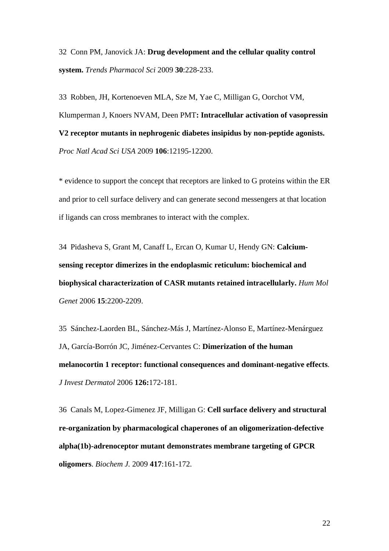32 Conn PM, Janovick JA: **[Drug development and the cellular quality control](http://www.ncbi.nlm.nih.gov/pubmed/19307028?ordinalpos=8&itool=EntrezSystem2.PEntrez.Pubmed.Pubmed_ResultsPanel.Pubmed_DefaultReportPanel.Pubmed_RVDocSum)  [system.](http://www.ncbi.nlm.nih.gov/pubmed/19307028?ordinalpos=8&itool=EntrezSystem2.PEntrez.Pubmed.Pubmed_ResultsPanel.Pubmed_DefaultReportPanel.Pubmed_RVDocSum)** *Trends Pharmacol Sci* 2009 **30**:228-233.

33 Robben, JH, Kortenoeven MLA, Sze M, Yae C, Milligan G, Oorchot VM, Klumperman J, Knoers NVAM, Deen PMT**: Intracellular activation of vasopressin V2 receptor mutants in nephrogenic diabetes insipidus by non-peptide agonists.** *Proc Natl Acad Sci USA* 2009 **106**:12195-12200.

\* evidence to support the concept that receptors are linked to G proteins within the ER and prior to cell surface delivery and can generate second messengers at that location if ligands can cross membranes to interact with the complex.

34 Pidasheva S, Grant M, Canaff L, Ercan O, Kumar U, Hendy GN: **[Calcium](http://www.ncbi.nlm.nih.gov/pubmed/16740594?ordinalpos=7&itool=EntrezSystem2.PEntrez.Pubmed.Pubmed_ResultsPanel.Pubmed_DefaultReportPanel.Pubmed_RVDocSum)[sensing receptor dimerizes in the endoplasmic reticulum: biochemical and](http://www.ncbi.nlm.nih.gov/pubmed/16740594?ordinalpos=7&itool=EntrezSystem2.PEntrez.Pubmed.Pubmed_ResultsPanel.Pubmed_DefaultReportPanel.Pubmed_RVDocSum)  [biophysical characterization of CASR mutants retained intracellularly.](http://www.ncbi.nlm.nih.gov/pubmed/16740594?ordinalpos=7&itool=EntrezSystem2.PEntrez.Pubmed.Pubmed_ResultsPanel.Pubmed_DefaultReportPanel.Pubmed_RVDocSum)** *Hum Mol Genet* 2006 **15**:2200-2209.

35 Sánchez-Laorden BL, Sánchez-Más J, Martínez-Alonso E, Martínez-Menárguez JA, García-Borrón JC, Jiménez-Cervantes C: **[Dimerization of the human](http://www.ncbi.nlm.nih.gov/pubmed/16417234?ordinalpos=6&itool=EntrezSystem2.PEntrez.Pubmed.Pubmed_ResultsPanel.Pubmed_DefaultReportPanel.Pubmed_RVDocSum)  [melanocortin 1 receptor: functional consequences and dominant-negative effects](http://www.ncbi.nlm.nih.gov/pubmed/16417234?ordinalpos=6&itool=EntrezSystem2.PEntrez.Pubmed.Pubmed_ResultsPanel.Pubmed_DefaultReportPanel.Pubmed_RVDocSum)**. *J Invest Dermatol* 2006 **126:**172-181.

36 Canals M, Lopez-Gimenez JF, Milligan G: **[Cell surface delivery and structural](http://www.ncbi.nlm.nih.gov/pubmed/18764782?ordinalpos=2&itool=EntrezSystem2.PEntrez.Pubmed.Pubmed_ResultsPanel.Pubmed_DefaultReportPanel.Pubmed_RVDocSum)  [re-organization by pharmacological chaperones of an oligomerization-defective](http://www.ncbi.nlm.nih.gov/pubmed/18764782?ordinalpos=2&itool=EntrezSystem2.PEntrez.Pubmed.Pubmed_ResultsPanel.Pubmed_DefaultReportPanel.Pubmed_RVDocSum)  [alpha\(1b\)-adrenoceptor mutant demonstrates membrane targeting of GPCR](http://www.ncbi.nlm.nih.gov/pubmed/18764782?ordinalpos=2&itool=EntrezSystem2.PEntrez.Pubmed.Pubmed_ResultsPanel.Pubmed_DefaultReportPanel.Pubmed_RVDocSum)  [oligomers](http://www.ncbi.nlm.nih.gov/pubmed/18764782?ordinalpos=2&itool=EntrezSystem2.PEntrez.Pubmed.Pubmed_ResultsPanel.Pubmed_DefaultReportPanel.Pubmed_RVDocSum)**. *Biochem J.* 2009 **417**:161-172.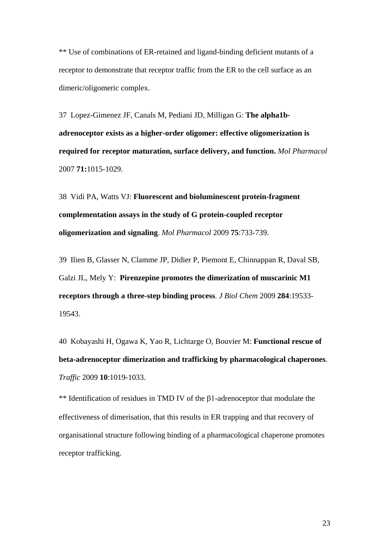\*\* Use of combinations of ER-retained and ligand-binding deficient mutants of a receptor to demonstrate that receptor traffic from the ER to the cell surface as an dimeric/oligomeric complex.

37 Lopez-Gimenez JF, Canals M, Pediani JD, Milligan G: **[The alpha1b](http://www.ncbi.nlm.nih.gov/pubmed/17220353?ordinalpos=5&itool=EntrezSystem2.PEntrez.Pubmed.Pubmed_ResultsPanel.Pubmed_DefaultReportPanel.Pubmed_RVDocSum)[adrenoceptor exists as a higher-order oligomer: effective oligomerization is](http://www.ncbi.nlm.nih.gov/pubmed/17220353?ordinalpos=5&itool=EntrezSystem2.PEntrez.Pubmed.Pubmed_ResultsPanel.Pubmed_DefaultReportPanel.Pubmed_RVDocSum)  [required for receptor maturation, surface delivery, and function.](http://www.ncbi.nlm.nih.gov/pubmed/17220353?ordinalpos=5&itool=EntrezSystem2.PEntrez.Pubmed.Pubmed_ResultsPanel.Pubmed_DefaultReportPanel.Pubmed_RVDocSum)** *Mol Pharmacol* 2007 **71:**1015-1029.

38 Vidi PA, Watts VJ: **[Fluorescent and bioluminescent protein-fragment](http://www.ncbi.nlm.nih.gov/pubmed/19141658?ordinalpos=3&itool=EntrezSystem2.PEntrez.Pubmed.Pubmed_ResultsPanel.Pubmed_DefaultReportPanel.Pubmed_RVDocSum)  [complementation assays in the study of G protein-coupled receptor](http://www.ncbi.nlm.nih.gov/pubmed/19141658?ordinalpos=3&itool=EntrezSystem2.PEntrez.Pubmed.Pubmed_ResultsPanel.Pubmed_DefaultReportPanel.Pubmed_RVDocSum)  [oligomerization and signaling](http://www.ncbi.nlm.nih.gov/pubmed/19141658?ordinalpos=3&itool=EntrezSystem2.PEntrez.Pubmed.Pubmed_ResultsPanel.Pubmed_DefaultReportPanel.Pubmed_RVDocSum)**. *Mol Pharmacol* 2009 **75**:733-739.

39 Ilien B, Glasser N, Clamme JP, Didier P, Piemont E, Chinnappan R, Daval SB, Galzi JL, Mely Y: **[Pirenzepine promotes the dimerization of muscarinic M1](http://www.ncbi.nlm.nih.gov/pubmed/19451648?ordinalpos=1&itool=EntrezSystem2.PEntrez.Pubmed.Pubmed_ResultsPanel.Pubmed_DefaultReportPanel.Pubmed_RVDocSum)  [receptors through a three-step binding process](http://www.ncbi.nlm.nih.gov/pubmed/19451648?ordinalpos=1&itool=EntrezSystem2.PEntrez.Pubmed.Pubmed_ResultsPanel.Pubmed_DefaultReportPanel.Pubmed_RVDocSum)**. *J Biol Chem* 2009 **284**:19533- 19543.

40 Kobayashi H, Ogawa K, Yao R, Lichtarge O, Bouvier M: **[Functional rescue of](http://www.ncbi.nlm.nih.gov/pubmed/19515093?ordinalpos=1&itool=EntrezSystem2.PEntrez.Pubmed.Pubmed_ResultsPanel.Pubmed_DefaultReportPanel.Pubmed_RVDocSum)  [beta-adrenoceptor dimerization and trafficking by pharmacological chaperones](http://www.ncbi.nlm.nih.gov/pubmed/19515093?ordinalpos=1&itool=EntrezSystem2.PEntrez.Pubmed.Pubmed_ResultsPanel.Pubmed_DefaultReportPanel.Pubmed_RVDocSum)**. *Traffic* 2009 **10**:1019-1033.

\*\* Identification of residues in TMD IV of the β1-adrenoceptor that modulate the effectiveness of dimerisation, that this results in ER trapping and that recovery of organisational structure following binding of a pharmacological chaperone promotes receptor trafficking.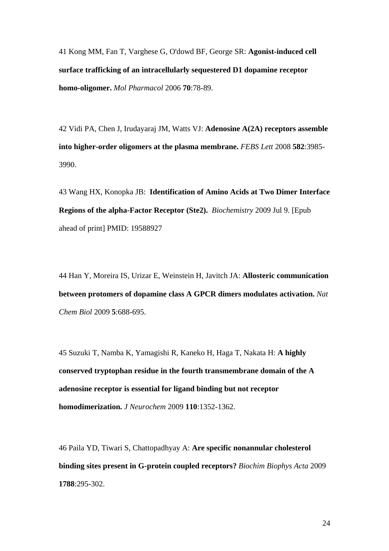41 Kong MM, Fan T, Varghese G, O'dowd BF, George SR: **[Agonist-induced cell](http://www.ncbi.nlm.nih.gov/pubmed/16597839?ordinalpos=3&itool=EntrezSystem2.PEntrez.Pubmed.Pubmed_ResultsPanel.Pubmed_DefaultReportPanel.Pubmed_RVDocSum)  [surface trafficking of an intracellularly sequestered D1 dopamine receptor](http://www.ncbi.nlm.nih.gov/pubmed/16597839?ordinalpos=3&itool=EntrezSystem2.PEntrez.Pubmed.Pubmed_ResultsPanel.Pubmed_DefaultReportPanel.Pubmed_RVDocSum)  [homo-oligomer.](http://www.ncbi.nlm.nih.gov/pubmed/16597839?ordinalpos=3&itool=EntrezSystem2.PEntrez.Pubmed.Pubmed_ResultsPanel.Pubmed_DefaultReportPanel.Pubmed_RVDocSum)** *Mol Pharmacol* 2006 **70**:78-89.

42 Vidi PA, Chen J, Irudayaraj JM, Watts VJ: **[Adenosine A\(2A\) receptors assemble](http://www.ncbi.nlm.nih.gov/pubmed/19013155?ordinalpos=7&itool=EntrezSystem2.PEntrez.Pubmed.Pubmed_ResultsPanel.Pubmed_DefaultReportPanel.Pubmed_RVDocSum)  [into higher-order oligomers at the plasma membrane.](http://www.ncbi.nlm.nih.gov/pubmed/19013155?ordinalpos=7&itool=EntrezSystem2.PEntrez.Pubmed.Pubmed_ResultsPanel.Pubmed_DefaultReportPanel.Pubmed_RVDocSum)** *FEBS Lett* 2008 **582**:3985- 3990.

43 Wang HX, Konopka JB: **[Identification of Amino Acids at Two Dimer Interface](http://www.ncbi.nlm.nih.gov/pubmed/19588927?ordinalpos=3&itool=EntrezSystem2.PEntrez.Pubmed.Pubmed_ResultsPanel.Pubmed_DefaultReportPanel.Pubmed_RVDocSum)  [Regions of the alpha-Factor Receptor \(Ste2\).](http://www.ncbi.nlm.nih.gov/pubmed/19588927?ordinalpos=3&itool=EntrezSystem2.PEntrez.Pubmed.Pubmed_ResultsPanel.Pubmed_DefaultReportPanel.Pubmed_RVDocSum)** *Biochemistry* 2009 Jul 9. [Epub ahead of print] PMID: 19588927

44 Han Y, Moreira IS, Urizar E, Weinstein H, Javitch JA: **[Allosteric communication](http://www.ncbi.nlm.nih.gov/pubmed/19648932?ordinalpos=2&itool=EntrezSystem2.PEntrez.Pubmed.Pubmed_ResultsPanel.Pubmed_DefaultReportPanel.Pubmed_RVDocSum)  [between protomers of dopamine class A GPCR dimers modulates activation.](http://www.ncbi.nlm.nih.gov/pubmed/19648932?ordinalpos=2&itool=EntrezSystem2.PEntrez.Pubmed.Pubmed_ResultsPanel.Pubmed_DefaultReportPanel.Pubmed_RVDocSum)** *Nat Chem Biol* 2009 **5**:688-695.

45 Suzuki T, Namba K, Yamagishi R, Kaneko H, Haga T, Nakata H: **[A highly](http://www.ncbi.nlm.nih.gov/pubmed/19558453?ordinalpos=1&itool=EntrezSystem2.PEntrez.Pubmed.Pubmed_ResultsPanel.Pubmed_DefaultReportPanel.Pubmed_RVDocSum)  [conserved tryptophan residue in the fourth transmembrane domain of the A](http://www.ncbi.nlm.nih.gov/pubmed/19558453?ordinalpos=1&itool=EntrezSystem2.PEntrez.Pubmed.Pubmed_ResultsPanel.Pubmed_DefaultReportPanel.Pubmed_RVDocSum)  [adenosine receptor is essential for ligand binding but not receptor](http://www.ncbi.nlm.nih.gov/pubmed/19558453?ordinalpos=1&itool=EntrezSystem2.PEntrez.Pubmed.Pubmed_ResultsPanel.Pubmed_DefaultReportPanel.Pubmed_RVDocSum)  [homodimerization.](http://www.ncbi.nlm.nih.gov/pubmed/19558453?ordinalpos=1&itool=EntrezSystem2.PEntrez.Pubmed.Pubmed_ResultsPanel.Pubmed_DefaultReportPanel.Pubmed_RVDocSum)** *J Neurochem* 2009 **110**:1352-1362.

46 Paila YD, Tiwari S, Chattopadhyay A: **[Are specific nonannular cholesterol](http://www.ncbi.nlm.nih.gov/pubmed/19111523?ordinalpos=2&itool=EntrezSystem2.PEntrez.Pubmed.Pubmed_ResultsPanel.Pubmed_DefaultReportPanel.Pubmed_RVDocSum)  [binding sites present in G-protein coupled receptors?](http://www.ncbi.nlm.nih.gov/pubmed/19111523?ordinalpos=2&itool=EntrezSystem2.PEntrez.Pubmed.Pubmed_ResultsPanel.Pubmed_DefaultReportPanel.Pubmed_RVDocSum)** *Biochim Biophys Acta* 2009 **1788**:295-302.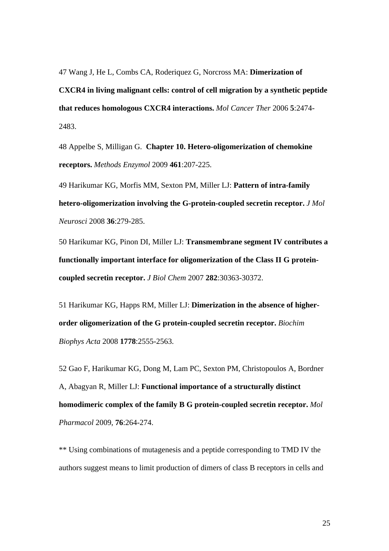47 Wang J, He L, Combs CA, Roderiquez G, Norcross MA: **[Dimerization of](http://www.ncbi.nlm.nih.gov/pubmed/17041091?ordinalpos=70&itool=EntrezSystem2.PEntrez.Pubmed.Pubmed_ResultsPanel.Pubmed_DefaultReportPanel.Pubmed_RVDocSum)  [CXCR4 in living malignant cells: control of cell migration by a synthetic peptide](http://www.ncbi.nlm.nih.gov/pubmed/17041091?ordinalpos=70&itool=EntrezSystem2.PEntrez.Pubmed.Pubmed_ResultsPanel.Pubmed_DefaultReportPanel.Pubmed_RVDocSum)  [that reduces homologous CXCR4 interactions.](http://www.ncbi.nlm.nih.gov/pubmed/17041091?ordinalpos=70&itool=EntrezSystem2.PEntrez.Pubmed.Pubmed_ResultsPanel.Pubmed_DefaultReportPanel.Pubmed_RVDocSum)** *Mol Cancer Ther* 2006 **5**:2474- 2483.

48 Appelbe S, Milligan G. **[Chapter 10. Hetero-oligomerization of chemokine](http://www.ncbi.nlm.nih.gov/pubmed/19480921?ordinalpos=1&itool=EntrezSystem2.PEntrez.Pubmed.Pubmed_ResultsPanel.Pubmed_DefaultReportPanel.Pubmed_RVDocSum)  [receptors.](http://www.ncbi.nlm.nih.gov/pubmed/19480921?ordinalpos=1&itool=EntrezSystem2.PEntrez.Pubmed.Pubmed_ResultsPanel.Pubmed_DefaultReportPanel.Pubmed_RVDocSum)** *Methods Enzymol* 2009 **461**:207-225.

49 Harikumar KG, Morfis MM, Sexton PM, Miller LJ: **[Pattern of intra-family](http://www.ncbi.nlm.nih.gov/pubmed/18401761?ordinalpos=5&itool=EntrezSystem2.PEntrez.Pubmed.Pubmed_ResultsPanel.Pubmed_DefaultReportPanel.Pubmed_RVDocSum)  [hetero-oligomerization involving the G-protein-coupled secretin receptor.](http://www.ncbi.nlm.nih.gov/pubmed/18401761?ordinalpos=5&itool=EntrezSystem2.PEntrez.Pubmed.Pubmed_ResultsPanel.Pubmed_DefaultReportPanel.Pubmed_RVDocSum)** *J Mol Neurosci* 2008 **36**:279-285.

50 Harikumar KG, Pinon DI, Miller LJ: **[Transmembrane segment IV contributes a](http://www.ncbi.nlm.nih.gov/pubmed/17726027?ordinalpos=2&itool=EntrezSystem2.PEntrez.Pubmed.Pubmed_ResultsPanel.Pubmed_DefaultReportPanel.Pubmed_RVDocSum)  [functionally important interface for oligomerization of the Class II G protein](http://www.ncbi.nlm.nih.gov/pubmed/17726027?ordinalpos=2&itool=EntrezSystem2.PEntrez.Pubmed.Pubmed_ResultsPanel.Pubmed_DefaultReportPanel.Pubmed_RVDocSum)[coupled secretin receptor.](http://www.ncbi.nlm.nih.gov/pubmed/17726027?ordinalpos=2&itool=EntrezSystem2.PEntrez.Pubmed.Pubmed_ResultsPanel.Pubmed_DefaultReportPanel.Pubmed_RVDocSum)** *J Biol Chem* 2007 **282**:30363-30372.

51 Harikumar KG, Happs RM, Miller LJ: **[Dimerization in the absence of higher](http://www.ncbi.nlm.nih.gov/pubmed/18680717?ordinalpos=3&itool=EntrezSystem2.PEntrez.Pubmed.Pubmed_ResultsPanel.Pubmed_DefaultReportPanel.Pubmed_RVDocSum)[order oligomerization of the G protein-coupled secretin receptor.](http://www.ncbi.nlm.nih.gov/pubmed/18680717?ordinalpos=3&itool=EntrezSystem2.PEntrez.Pubmed.Pubmed_ResultsPanel.Pubmed_DefaultReportPanel.Pubmed_RVDocSum)** *Biochim Biophys Acta* 2008 **1778**:2555-2563.

52 Gao F, Harikumar KG, Dong M, Lam PC, Sexton PM, Christopoulos A, Bordner A, Abagyan R, Miller LJ: **[Functional importance of a structurally distinct](http://www.ncbi.nlm.nih.gov/pubmed/19429716?ordinalpos=1&itool=EntrezSystem2.PEntrez.Pubmed.Pubmed_ResultsPanel.Pubmed_DefaultReportPanel.Pubmed_RVDocSum)  [homodimeric complex of the family B G protein-coupled secretin receptor.](http://www.ncbi.nlm.nih.gov/pubmed/19429716?ordinalpos=1&itool=EntrezSystem2.PEntrez.Pubmed.Pubmed_ResultsPanel.Pubmed_DefaultReportPanel.Pubmed_RVDocSum)** *Mol Pharmacol* 2009, **76**:264-274.

\*\* Using combinations of mutagenesis and a peptide corresponding to TMD IV the authors suggest means to limit production of dimers of class B receptors in cells and